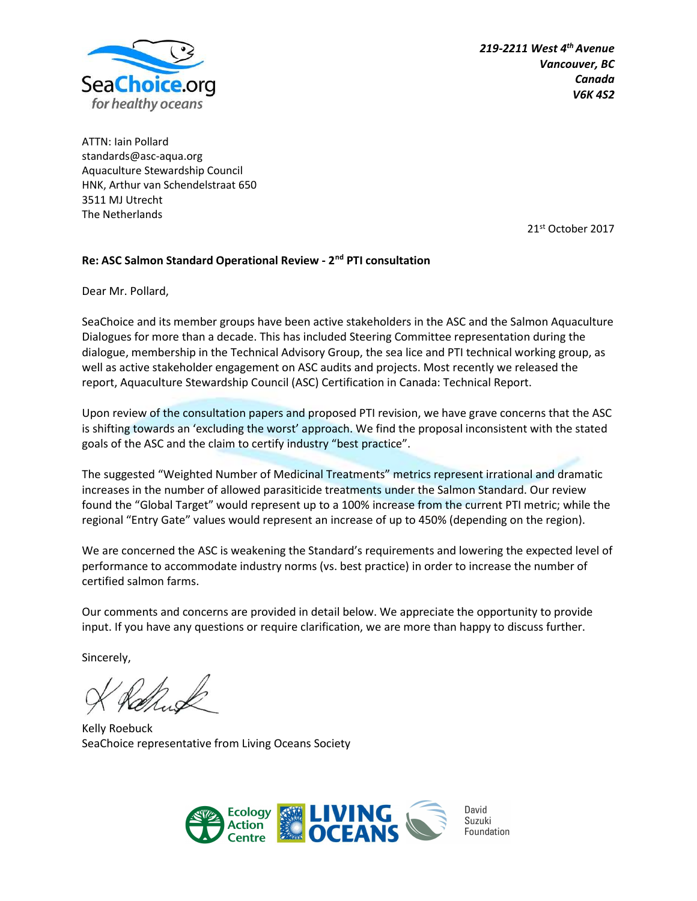

219-2211 West  $4<sup>th</sup>$  Avenue Vancouver, BC Canada V6K 4S2

ATTN: Iain Pollard standards@asc-aqua.org Aquaculture Stewardship Council HNK, Arthur van Schendelstraat 650 3511 MJ Utrecht The Netherlands

21st October 2017

#### Re: ASC Salmon Standard Operational Review - 2<sup>nd</sup> PTI consultation

Dear Mr. Pollard,

SeaChoice and its member groups have been active stakeholders in the ASC and the Salmon Aquaculture Dialogues for more than a decade. This has included Steering Committee representation during the dialogue, membership in the Technical Advisory Group, the sea lice and PTI technical working group, as well as active stakeholder engagement on ASC audits and projects. Most recently we released the report, Aquaculture Stewardship Council (ASC) Certification in Canada: Technical Report.

Upon review of the consultation papers and proposed PTI revision, we have grave concerns that the ASC is shifting towards an 'excluding the worst' approach. We find the proposal inconsistent with the stated goals of the ASC and the claim to certify industry "best practice".

The suggested "Weighted Number of Medicinal Treatments" metrics represent irrational and dramatic increases in the number of allowed parasiticide treatments under the Salmon Standard. Our review found the "Global Target" would represent up to a 100% increase from the current PTI metric; while the regional "Entry Gate" values would represent an increase of up to 450% (depending on the region).

We are concerned the ASC is weakening the Standard's requirements and lowering the expected level of performance to accommodate industry norms (vs. best practice) in order to increase the number of certified salmon farms.

Our comments and concerns are provided in detail below. We appreciate the opportunity to provide input. If you have any questions or require clarification, we are more than happy to discuss further.

Sincerely,

Kelly Roebuck SeaChoice representative from Living Oceans Society



David Suzuki Foundation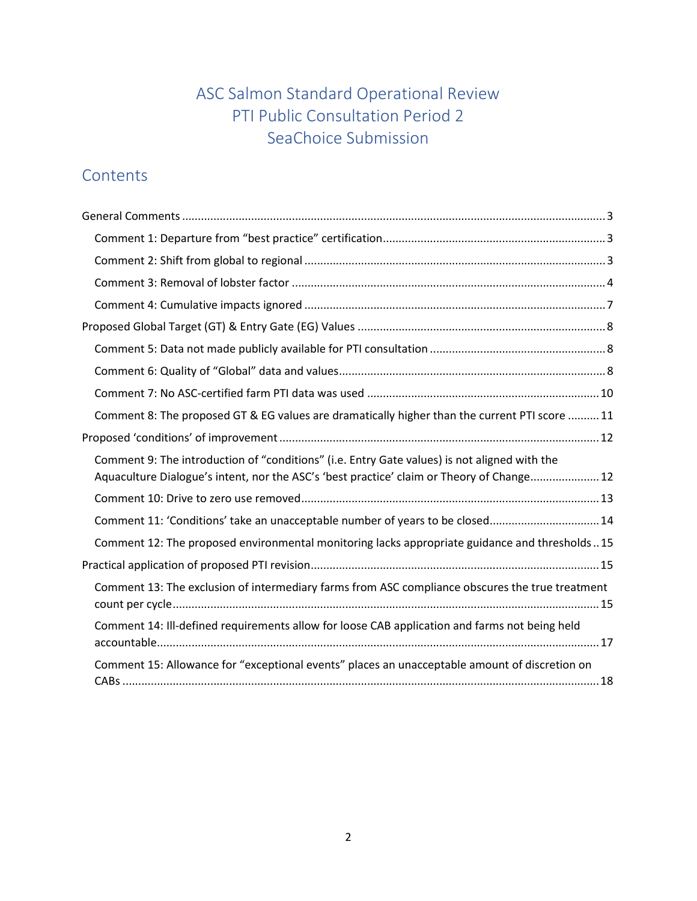# ASC Salmon Standard Operational Review PTI Public Consultation Period 2 SeaChoice Submission

# **Contents**

| Comment 8: The proposed GT & EG values are dramatically higher than the current PTI score  11                                                                                             |
|-------------------------------------------------------------------------------------------------------------------------------------------------------------------------------------------|
|                                                                                                                                                                                           |
|                                                                                                                                                                                           |
| Comment 9: The introduction of "conditions" (i.e. Entry Gate values) is not aligned with the<br>Aquaculture Dialogue's intent, nor the ASC's 'best practice' claim or Theory of Change 12 |
|                                                                                                                                                                                           |
| Comment 11: 'Conditions' take an unacceptable number of years to be closed 14                                                                                                             |
| Comment 12: The proposed environmental monitoring lacks appropriate guidance and thresholds15                                                                                             |
|                                                                                                                                                                                           |
| Comment 13: The exclusion of intermediary farms from ASC compliance obscures the true treatment                                                                                           |
| Comment 14: Ill-defined requirements allow for loose CAB application and farms not being held                                                                                             |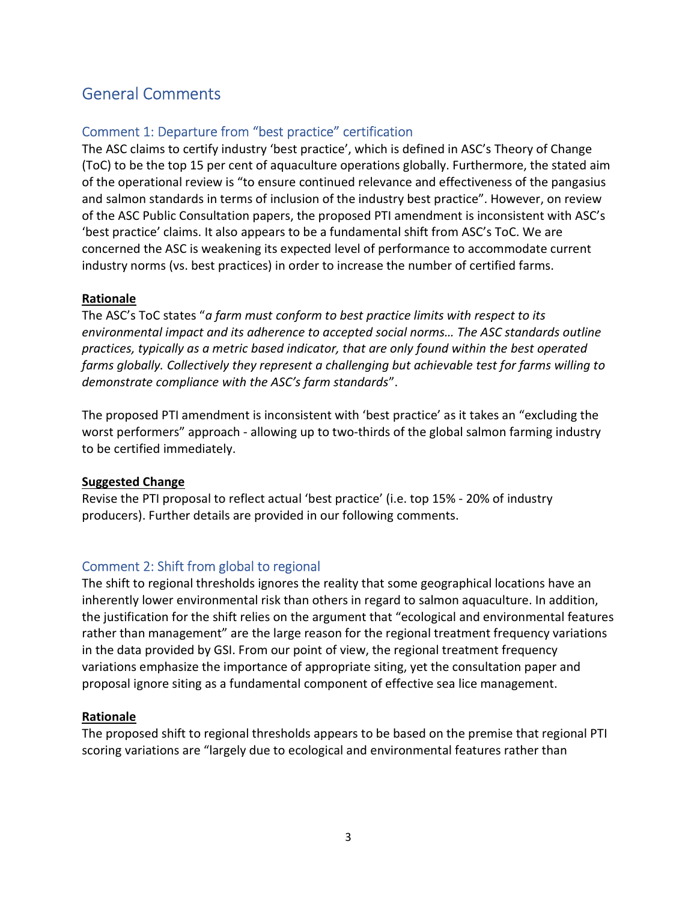# General Comments

## Comment 1: Departure from "best practice" certification

The ASC claims to certify industry 'best practice', which is defined in ASC's Theory of Change (ToC) to be the top 15 per cent of aquaculture operations globally. Furthermore, the stated aim of the operational review is "to ensure continued relevance and effectiveness of the pangasius and salmon standards in terms of inclusion of the industry best practice". However, on review of the ASC Public Consultation papers, the proposed PTI amendment is inconsistent with ASC's 'best practice' claims. It also appears to be a fundamental shift from ASC's ToC. We are concerned the ASC is weakening its expected level of performance to accommodate current industry norms (vs. best practices) in order to increase the number of certified farms.

#### Rationale

The ASC's ToC states "a farm must conform to best practice limits with respect to its environmental impact and its adherence to accepted social norms… The ASC standards outline practices, typically as a metric based indicator, that are only found within the best operated farms globally. Collectively they represent a challenging but achievable test for farms willing to demonstrate compliance with the ASC's farm standards".

The proposed PTI amendment is inconsistent with 'best practice' as it takes an "excluding the worst performers" approach - allowing up to two-thirds of the global salmon farming industry to be certified immediately.

#### Suggested Change

Revise the PTI proposal to reflect actual 'best practice' (i.e. top 15% - 20% of industry producers). Further details are provided in our following comments.

### Comment 2: Shift from global to regional

The shift to regional thresholds ignores the reality that some geographical locations have an inherently lower environmental risk than others in regard to salmon aquaculture. In addition, the justification for the shift relies on the argument that "ecological and environmental features rather than management" are the large reason for the regional treatment frequency variations in the data provided by GSI. From our point of view, the regional treatment frequency variations emphasize the importance of appropriate siting, yet the consultation paper and proposal ignore siting as a fundamental component of effective sea lice management.

#### Rationale

The proposed shift to regional thresholds appears to be based on the premise that regional PTI scoring variations are "largely due to ecological and environmental features rather than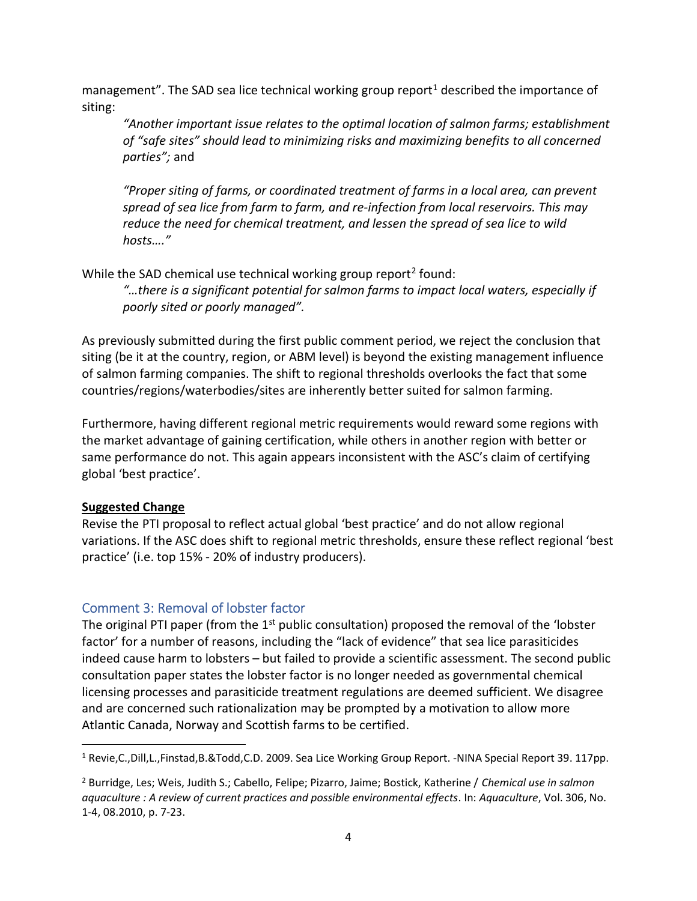management". The SAD sea lice technical working group report<sup>1</sup> described the importance of siting:

"Another important issue relates to the optimal location of salmon farms; establishment of "safe sites" should lead to minimizing risks and maximizing benefits to all concerned parties"; and

"Proper siting of farms, or coordinated treatment of farms in a local area, can prevent spread of sea lice from farm to farm, and re-infection from local reservoirs. This may reduce the need for chemical treatment, and lessen the spread of sea lice to wild hosts…."

While the SAD chemical use technical working group report<sup>2</sup> found:

"…there is a significant potential for salmon farms to impact local waters, especially if poorly sited or poorly managed".

As previously submitted during the first public comment period, we reject the conclusion that siting (be it at the country, region, or ABM level) is beyond the existing management influence of salmon farming companies. The shift to regional thresholds overlooks the fact that some countries/regions/waterbodies/sites are inherently better suited for salmon farming.

Furthermore, having different regional metric requirements would reward some regions with the market advantage of gaining certification, while others in another region with better or same performance do not. This again appears inconsistent with the ASC's claim of certifying global 'best practice'.

#### Suggested Change

Revise the PTI proposal to reflect actual global 'best practice' and do not allow regional variations. If the ASC does shift to regional metric thresholds, ensure these reflect regional 'best practice' (i.e. top 15% - 20% of industry producers).

### Comment 3: Removal of lobster factor

The original PTI paper (from the 1<sup>st</sup> public consultation) proposed the removal of the 'lobster factor' for a number of reasons, including the "lack of evidence" that sea lice parasiticides indeed cause harm to lobsters – but failed to provide a scientific assessment. The second public consultation paper states the lobster factor is no longer needed as governmental chemical licensing processes and parasiticide treatment regulations are deemed sufficient. We disagree and are concerned such rationalization may be prompted by a motivation to allow more Atlantic Canada, Norway and Scottish farms to be certified.

<sup>&</sup>lt;sup>1</sup> Revie,C.,Dill,L.,Finstad,B.&Todd,C.D. 2009. Sea Lice Working Group Report. -NINA Special Report 39. 117pp.

<sup>&</sup>lt;sup>2</sup> Burridge, Les; Weis, Judith S.; Cabello, Felipe; Pizarro, Jaime; Bostick, Katherine / Chemical use in salmon aquaculture : A review of current practices and possible environmental effects. In: Aquaculture, Vol. 306, No. 1-4, 08.2010, p. 7-23.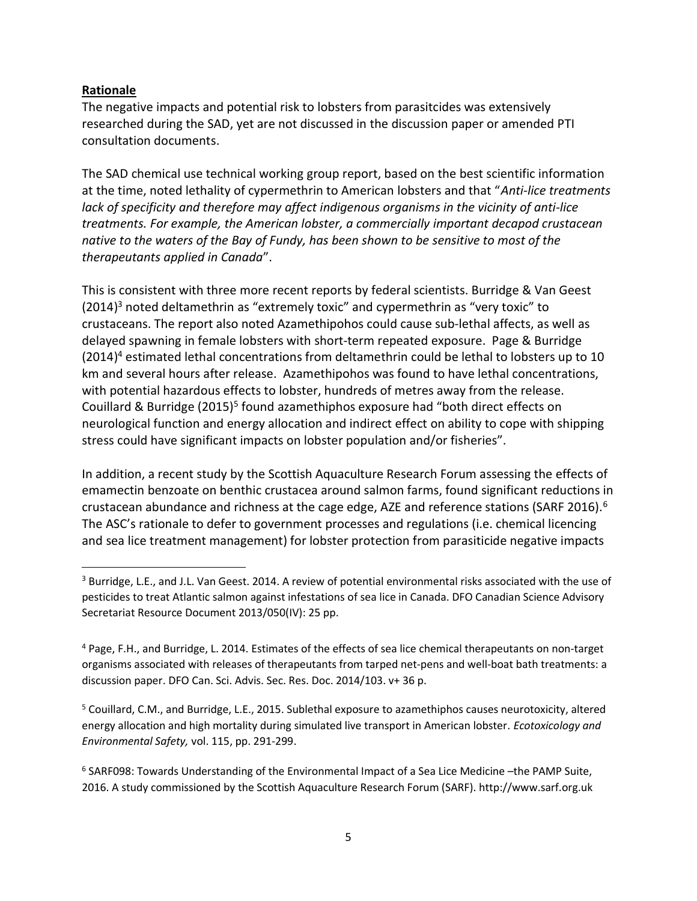#### Rationale

 $\overline{a}$ 

The negative impacts and potential risk to lobsters from parasitcides was extensively researched during the SAD, yet are not discussed in the discussion paper or amended PTI consultation documents.

The SAD chemical use technical working group report, based on the best scientific information at the time, noted lethality of cypermethrin to American lobsters and that "Anti-lice treatments lack of specificity and therefore may affect indigenous organisms in the vicinity of anti-lice treatments. For example, the American lobster, a commercially important decapod crustacean native to the waters of the Bay of Fundy, has been shown to be sensitive to most of the therapeutants applied in Canada".

This is consistent with three more recent reports by federal scientists. Burridge & Van Geest  $(2014)^3$  noted deltamethrin as "extremely toxic" and cypermethrin as "very toxic" to crustaceans. The report also noted Azamethipohos could cause sub-lethal affects, as well as delayed spawning in female lobsters with short-term repeated exposure. Page & Burridge (2014)<sup>4</sup> estimated lethal concentrations from deltamethrin could be lethal to lobsters up to 10 km and several hours after release. Azamethipohos was found to have lethal concentrations, with potential hazardous effects to lobster, hundreds of metres away from the release. Couillard & Burridge (2015)<sup>5</sup> found azamethiphos exposure had "both direct effects on neurological function and energy allocation and indirect effect on ability to cope with shipping stress could have significant impacts on lobster population and/or fisheries".

In addition, a recent study by the Scottish Aquaculture Research Forum assessing the effects of emamectin benzoate on benthic crustacea around salmon farms, found significant reductions in crustacean abundance and richness at the cage edge, AZE and reference stations (SARF 2016).<sup>6</sup> The ASC's rationale to defer to government processes and regulations (i.e. chemical licencing and sea lice treatment management) for lobster protection from parasiticide negative impacts

<sup>5</sup> Couillard, C.M., and Burridge, L.E., 2015. Sublethal exposure to azamethiphos causes neurotoxicity, altered energy allocation and high mortality during simulated live transport in American lobster. Ecotoxicology and Environmental Safety, vol. 115, pp. 291-299.

<sup>&</sup>lt;sup>3</sup> Burridge, L.E., and J.L. Van Geest. 2014. A review of potential environmental risks associated with the use of pesticides to treat Atlantic salmon against infestations of sea lice in Canada. DFO Canadian Science Advisory Secretariat Resource Document 2013/050(IV): 25 pp.

<sup>&</sup>lt;sup>4</sup> Page, F.H., and Burridge, L. 2014. Estimates of the effects of sea lice chemical therapeutants on non-target organisms associated with releases of therapeutants from tarped net-pens and well-boat bath treatments: a discussion paper. DFO Can. Sci. Advis. Sec. Res. Doc. 2014/103. v+ 36 p.

<sup>&</sup>lt;sup>6</sup> SARF098: Towards Understanding of the Environmental Impact of a Sea Lice Medicine -the PAMP Suite, 2016. A study commissioned by the Scottish Aquaculture Research Forum (SARF). http://www.sarf.org.uk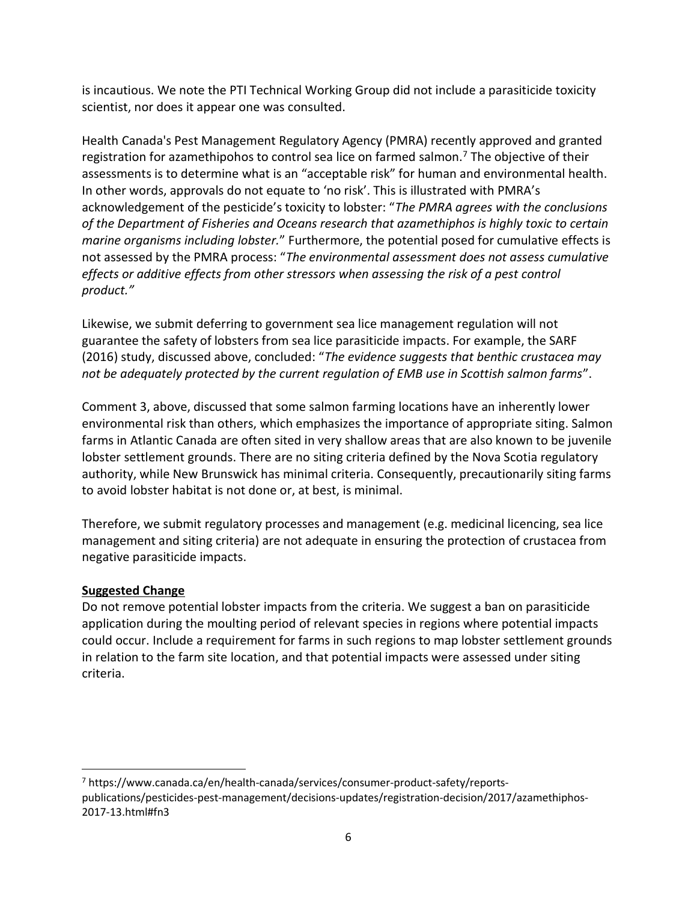is incautious. We note the PTI Technical Working Group did not include a parasiticide toxicity scientist, nor does it appear one was consulted.

Health Canada's Pest Management Regulatory Agency (PMRA) recently approved and granted registration for azamethipohos to control sea lice on farmed salmon.<sup>7</sup> The objective of their assessments is to determine what is an "acceptable risk" for human and environmental health. In other words, approvals do not equate to 'no risk'. This is illustrated with PMRA's acknowledgement of the pesticide's toxicity to lobster: "The PMRA agrees with the conclusions of the Department of Fisheries and Oceans research that azamethiphos is highly toxic to certain marine organisms including lobster." Furthermore, the potential posed for cumulative effects is not assessed by the PMRA process: "The environmental assessment does not assess cumulative effects or additive effects from other stressors when assessing the risk of a pest control product."

Likewise, we submit deferring to government sea lice management regulation will not guarantee the safety of lobsters from sea lice parasiticide impacts. For example, the SARF (2016) study, discussed above, concluded: "The evidence suggests that benthic crustacea may not be adequately protected by the current regulation of EMB use in Scottish salmon farms".

Comment 3, above, discussed that some salmon farming locations have an inherently lower environmental risk than others, which emphasizes the importance of appropriate siting. Salmon farms in Atlantic Canada are often sited in very shallow areas that are also known to be juvenile lobster settlement grounds. There are no siting criteria defined by the Nova Scotia regulatory authority, while New Brunswick has minimal criteria. Consequently, precautionarily siting farms to avoid lobster habitat is not done or, at best, is minimal.

Therefore, we submit regulatory processes and management (e.g. medicinal licencing, sea lice management and siting criteria) are not adequate in ensuring the protection of crustacea from negative parasiticide impacts.

### Suggested Change

 $\overline{a}$ 

Do not remove potential lobster impacts from the criteria. We suggest a ban on parasiticide application during the moulting period of relevant species in regions where potential impacts could occur. Include a requirement for farms in such regions to map lobster settlement grounds in relation to the farm site location, and that potential impacts were assessed under siting criteria.

<sup>7</sup> https://www.canada.ca/en/health-canada/services/consumer-product-safety/reportspublications/pesticides-pest-management/decisions-updates/registration-decision/2017/azamethiphos-2017-13.html#fn3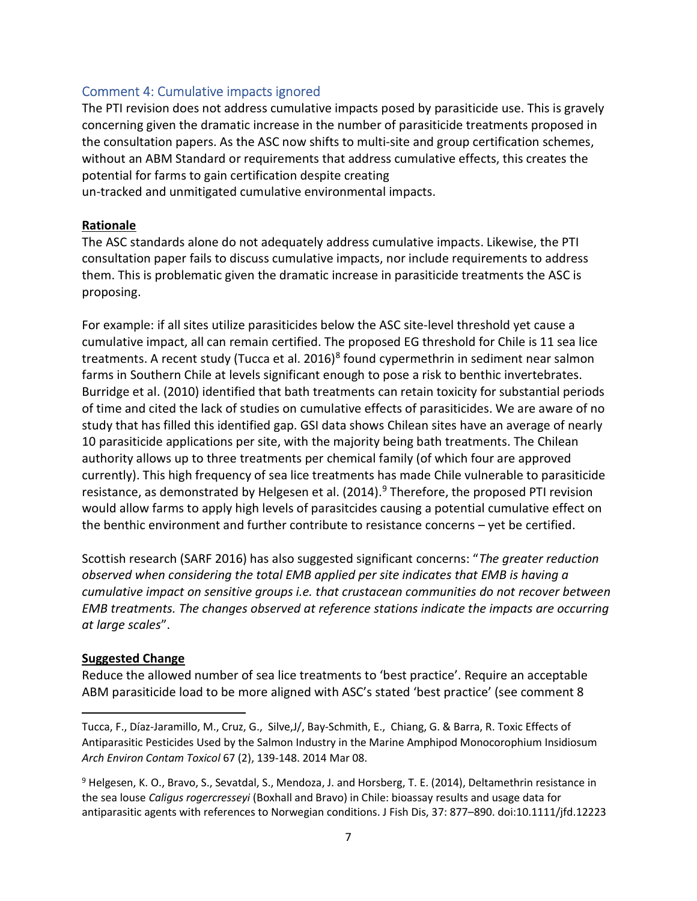#### Comment 4: Cumulative impacts ignored

The PTI revision does not address cumulative impacts posed by parasiticide use. This is gravely concerning given the dramatic increase in the number of parasiticide treatments proposed in the consultation papers. As the ASC now shifts to multi-site and group certification schemes, without an ABM Standard or requirements that address cumulative effects, this creates the potential for farms to gain certification despite creating un-tracked and unmitigated cumulative environmental impacts.

#### Rationale

The ASC standards alone do not adequately address cumulative impacts. Likewise, the PTI consultation paper fails to discuss cumulative impacts, nor include requirements to address them. This is problematic given the dramatic increase in parasiticide treatments the ASC is proposing.

For example: if all sites utilize parasiticides below the ASC site-level threshold yet cause a cumulative impact, all can remain certified. The proposed EG threshold for Chile is 11 sea lice treatments. A recent study (Tucca et al. 2016)<sup>8</sup> found cypermethrin in sediment near salmon farms in Southern Chile at levels significant enough to pose a risk to benthic invertebrates. Burridge et al. (2010) identified that bath treatments can retain toxicity for substantial periods of time and cited the lack of studies on cumulative effects of parasiticides. We are aware of no study that has filled this identified gap. GSI data shows Chilean sites have an average of nearly 10 parasiticide applications per site, with the majority being bath treatments. The Chilean authority allows up to three treatments per chemical family (of which four are approved currently). This high frequency of sea lice treatments has made Chile vulnerable to parasiticide resistance, as demonstrated by Helgesen et al. (2014).<sup>9</sup> Therefore, the proposed PTI revision would allow farms to apply high levels of parasitcides causing a potential cumulative effect on the benthic environment and further contribute to resistance concerns – yet be certified.

Scottish research (SARF 2016) has also suggested significant concerns: "The greater reduction observed when considering the total EMB applied per site indicates that EMB is having a cumulative impact on sensitive groups i.e. that crustacean communities do not recover between EMB treatments. The changes observed at reference stations indicate the impacts are occurring at large scales".

#### Suggested Change

Reduce the allowed number of sea lice treatments to 'best practice'. Require an acceptable ABM parasiticide load to be more aligned with ASC's stated 'best practice' (see comment 8

Tucca, F., Díaz-Jaramillo, M., Cruz, G., Silve,J/, Bay-Schmith, E., Chiang, G. & Barra, R. Toxic Effects of Antiparasitic Pesticides Used by the Salmon Industry in the Marine Amphipod Monocorophium Insidiosum Arch Environ Contam Toxicol 67 (2), 139-148. 2014 Mar 08.

<sup>&</sup>lt;sup>9</sup> Helgesen, K. O., Bravo, S., Sevatdal, S., Mendoza, J. and Horsberg, T. E. (2014), Deltamethrin resistance in the sea louse Caligus rogercresseyi (Boxhall and Bravo) in Chile: bioassay results and usage data for antiparasitic agents with references to Norwegian conditions. J Fish Dis, 37: 877–890. doi:10.1111/jfd.12223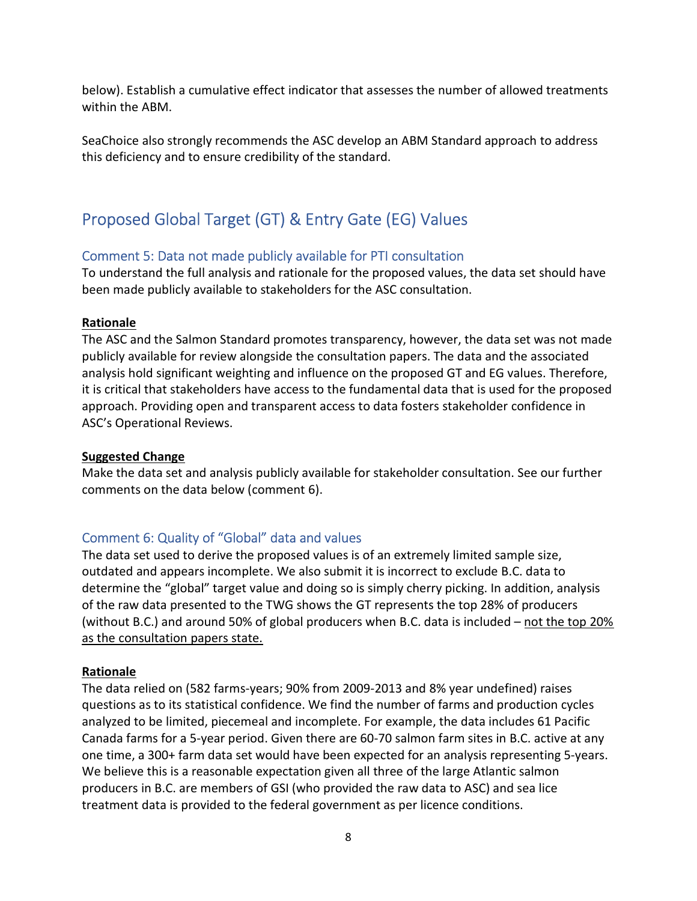below). Establish a cumulative effect indicator that assesses the number of allowed treatments within the ABM.

SeaChoice also strongly recommends the ASC develop an ABM Standard approach to address this deficiency and to ensure credibility of the standard.

# Proposed Global Target (GT) & Entry Gate (EG) Values

### Comment 5: Data not made publicly available for PTI consultation

To understand the full analysis and rationale for the proposed values, the data set should have been made publicly available to stakeholders for the ASC consultation.

#### Rationale

The ASC and the Salmon Standard promotes transparency, however, the data set was not made publicly available for review alongside the consultation papers. The data and the associated analysis hold significant weighting and influence on the proposed GT and EG values. Therefore, it is critical that stakeholders have access to the fundamental data that is used for the proposed approach. Providing open and transparent access to data fosters stakeholder confidence in ASC's Operational Reviews.

#### Suggested Change

Make the data set and analysis publicly available for stakeholder consultation. See our further comments on the data below (comment 6).

### Comment 6: Quality of "Global" data and values

The data set used to derive the proposed values is of an extremely limited sample size, outdated and appears incomplete. We also submit it is incorrect to exclude B.C. data to determine the "global" target value and doing so is simply cherry picking. In addition, analysis of the raw data presented to the TWG shows the GT represents the top 28% of producers (without B.C.) and around 50% of global producers when B.C. data is included – not the top 20% as the consultation papers state.

#### Rationale

The data relied on (582 farms-years; 90% from 2009-2013 and 8% year undefined) raises questions as to its statistical confidence. We find the number of farms and production cycles analyzed to be limited, piecemeal and incomplete. For example, the data includes 61 Pacific Canada farms for a 5-year period. Given there are 60-70 salmon farm sites in B.C. active at any one time, a 300+ farm data set would have been expected for an analysis representing 5-years. We believe this is a reasonable expectation given all three of the large Atlantic salmon producers in B.C. are members of GSI (who provided the raw data to ASC) and sea lice treatment data is provided to the federal government as per licence conditions.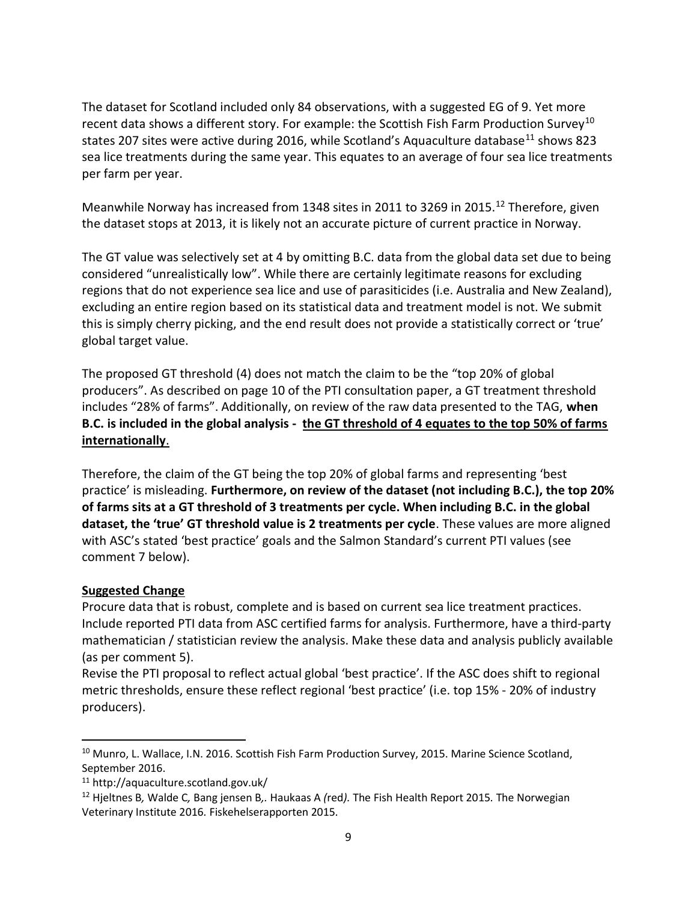The dataset for Scotland included only 84 observations, with a suggested EG of 9. Yet more recent data shows a different story. For example: the Scottish Fish Farm Production Survey<sup>10</sup> states 207 sites were active during 2016, while Scotland's Aquaculture database<sup>11</sup> shows 823 sea lice treatments during the same year. This equates to an average of four sea lice treatments per farm per year.

Meanwhile Norway has increased from 1348 sites in 2011 to 3269 in 2015.<sup>12</sup> Therefore, given the dataset stops at 2013, it is likely not an accurate picture of current practice in Norway.

The GT value was selectively set at 4 by omitting B.C. data from the global data set due to being considered "unrealistically low". While there are certainly legitimate reasons for excluding regions that do not experience sea lice and use of parasiticides (i.e. Australia and New Zealand), excluding an entire region based on its statistical data and treatment model is not. We submit this is simply cherry picking, and the end result does not provide a statistically correct or 'true' global target value.

The proposed GT threshold (4) does not match the claim to be the "top 20% of global producers". As described on page 10 of the PTI consultation paper, a GT treatment threshold includes "28% of farms". Additionally, on review of the raw data presented to the TAG, when B.C. is included in the global analysis - the GT threshold of 4 equates to the top 50% of farms internationally.

Therefore, the claim of the GT being the top 20% of global farms and representing 'best practice' is misleading. Furthermore, on review of the dataset (not including B.C.), the top 20% of farms sits at a GT threshold of 3 treatments per cycle. When including B.C. in the global dataset, the 'true' GT threshold value is 2 treatments per cycle. These values are more aligned with ASC's stated 'best practice' goals and the Salmon Standard's current PTI values (see comment 7 below).

### Suggested Change

Procure data that is robust, complete and is based on current sea lice treatment practices. Include reported PTI data from ASC certified farms for analysis. Furthermore, have a third-party mathematician / statistician review the analysis. Make these data and analysis publicly available (as per comment 5).

Revise the PTI proposal to reflect actual global 'best practice'. If the ASC does shift to regional metric thresholds, ensure these reflect regional 'best practice' (i.e. top 15% - 20% of industry producers).

<sup>&</sup>lt;sup>10</sup> Munro, L. Wallace, I.N. 2016. Scottish Fish Farm Production Survey, 2015. Marine Science Scotland, September 2016.

<sup>11</sup> http://aquaculture.scotland.gov.uk/

 $12$  Hjeltnes B, Walde C, Bang jensen B,. Haukaas A (red). The Fish Health Report 2015. The Norwegian Veterinary Institute 2016. Fiskehelserapporten 2015.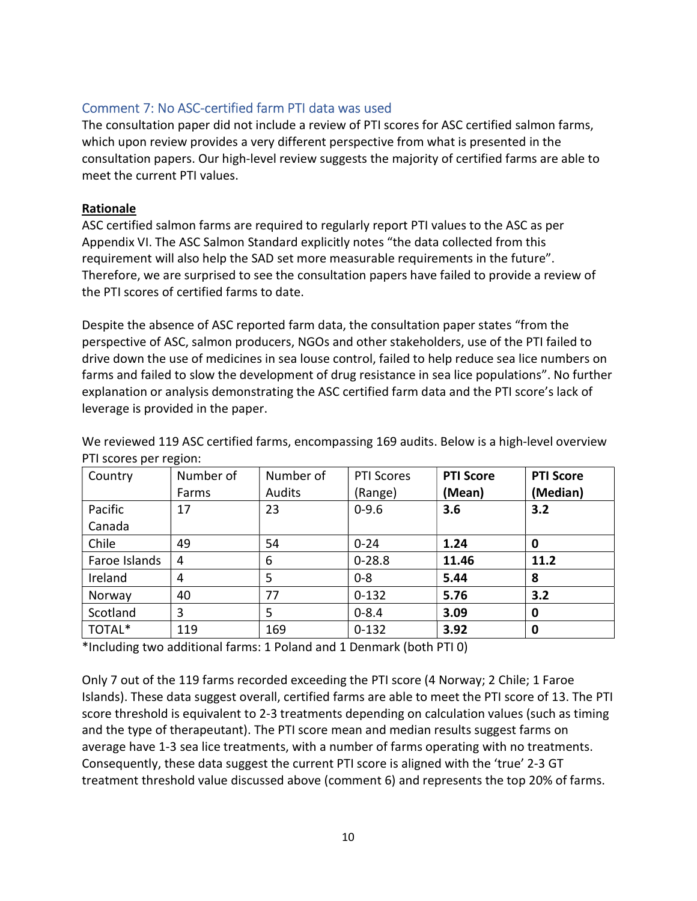## Comment 7: No ASC-certified farm PTI data was used

The consultation paper did not include a review of PTI scores for ASC certified salmon farms, which upon review provides a very different perspective from what is presented in the consultation papers. Our high-level review suggests the majority of certified farms are able to meet the current PTI values.

#### Rationale

ASC certified salmon farms are required to regularly report PTI values to the ASC as per Appendix VI. The ASC Salmon Standard explicitly notes "the data collected from this requirement will also help the SAD set more measurable requirements in the future". Therefore, we are surprised to see the consultation papers have failed to provide a review of the PTI scores of certified farms to date.

Despite the absence of ASC reported farm data, the consultation paper states "from the perspective of ASC, salmon producers, NGOs and other stakeholders, use of the PTI failed to drive down the use of medicines in sea louse control, failed to help reduce sea lice numbers on farms and failed to slow the development of drug resistance in sea lice populations". No further explanation or analysis demonstrating the ASC certified farm data and the PTI score's lack of leverage is provided in the paper.

| Country       | Number of | Number of | <b>PTI Scores</b> | <b>PTI Score</b> | <b>PTI Score</b> |
|---------------|-----------|-----------|-------------------|------------------|------------------|
|               | Farms     | Audits    | (Range)           | (Mean)           | (Median)         |
| Pacific       | 17        | 23        | $0 - 9.6$         | 3.6              | 3.2              |
| Canada        |           |           |                   |                  |                  |
| Chile         | 49        | 54        | $0 - 24$          | 1.24             | 0                |
| Faroe Islands | 4         | 6         | $0 - 28.8$        | 11.46            | 11.2             |
| Ireland       | 4         | 5         | $0 - 8$           | 5.44             | 8                |
| Norway        | 40        | 77        | $0 - 132$         | 5.76             | 3.2              |
| Scotland      | 3         | 5         | $0 - 8.4$         | 3.09             | 0                |
| TOTAL*        | 119       | 169       | $0 - 132$         | 3.92             | 0                |

We reviewed 119 ASC certified farms, encompassing 169 audits. Below is a high-level overview PTI scores per region:

\*Including two additional farms: 1 Poland and 1 Denmark (both PTI 0)

Only 7 out of the 119 farms recorded exceeding the PTI score (4 Norway; 2 Chile; 1 Faroe Islands). These data suggest overall, certified farms are able to meet the PTI score of 13. The PTI score threshold is equivalent to 2-3 treatments depending on calculation values (such as timing and the type of therapeutant). The PTI score mean and median results suggest farms on average have 1-3 sea lice treatments, with a number of farms operating with no treatments. Consequently, these data suggest the current PTI score is aligned with the 'true' 2-3 GT treatment threshold value discussed above (comment 6) and represents the top 20% of farms.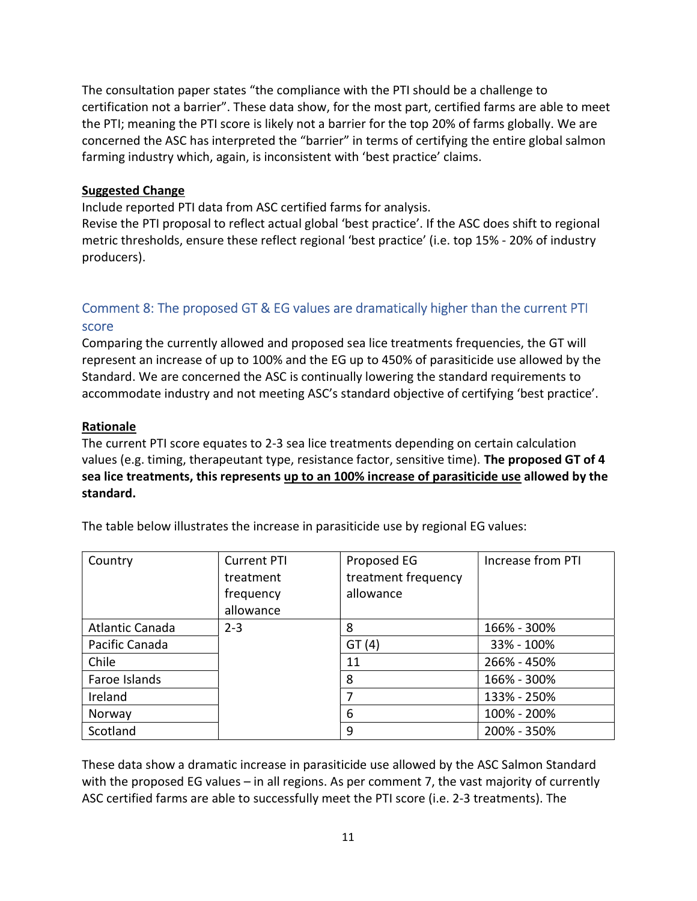The consultation paper states "the compliance with the PTI should be a challenge to certification not a barrier". These data show, for the most part, certified farms are able to meet the PTI; meaning the PTI score is likely not a barrier for the top 20% of farms globally. We are concerned the ASC has interpreted the "barrier" in terms of certifying the entire global salmon farming industry which, again, is inconsistent with 'best practice' claims.

#### Suggested Change

Include reported PTI data from ASC certified farms for analysis.

Revise the PTI proposal to reflect actual global 'best practice'. If the ASC does shift to regional metric thresholds, ensure these reflect regional 'best practice' (i.e. top 15% - 20% of industry producers).

# Comment 8: The proposed GT & EG values are dramatically higher than the current PTI score

Comparing the currently allowed and proposed sea lice treatments frequencies, the GT will represent an increase of up to 100% and the EG up to 450% of parasiticide use allowed by the Standard. We are concerned the ASC is continually lowering the standard requirements to accommodate industry and not meeting ASC's standard objective of certifying 'best practice'.

#### Rationale

The current PTI score equates to 2-3 sea lice treatments depending on certain calculation values (e.g. timing, therapeutant type, resistance factor, sensitive time). The proposed GT of 4 sea lice treatments, this represents up to an 100% increase of parasiticide use allowed by the standard.

| Country         | <b>Current PTI</b> | Proposed EG         | Increase from PTI |
|-----------------|--------------------|---------------------|-------------------|
|                 | treatment          | treatment frequency |                   |
|                 | frequency          | allowance           |                   |
|                 | allowance          |                     |                   |
| Atlantic Canada | $2 - 3$            | 8                   | 166% - 300%       |
| Pacific Canada  |                    | GT(4)               | 33% - 100%        |
| Chile           |                    | 11                  | 266% - 450%       |
| Faroe Islands   |                    | 8                   | 166% - 300%       |
| Ireland         |                    |                     | 133% - 250%       |
| Norway          |                    | 6                   | 100% - 200%       |
| Scotland        |                    | 9                   | 200% - 350%       |

The table below illustrates the increase in parasiticide use by regional EG values:

These data show a dramatic increase in parasiticide use allowed by the ASC Salmon Standard with the proposed EG values – in all regions. As per comment 7, the vast majority of currently ASC certified farms are able to successfully meet the PTI score (i.e. 2-3 treatments). The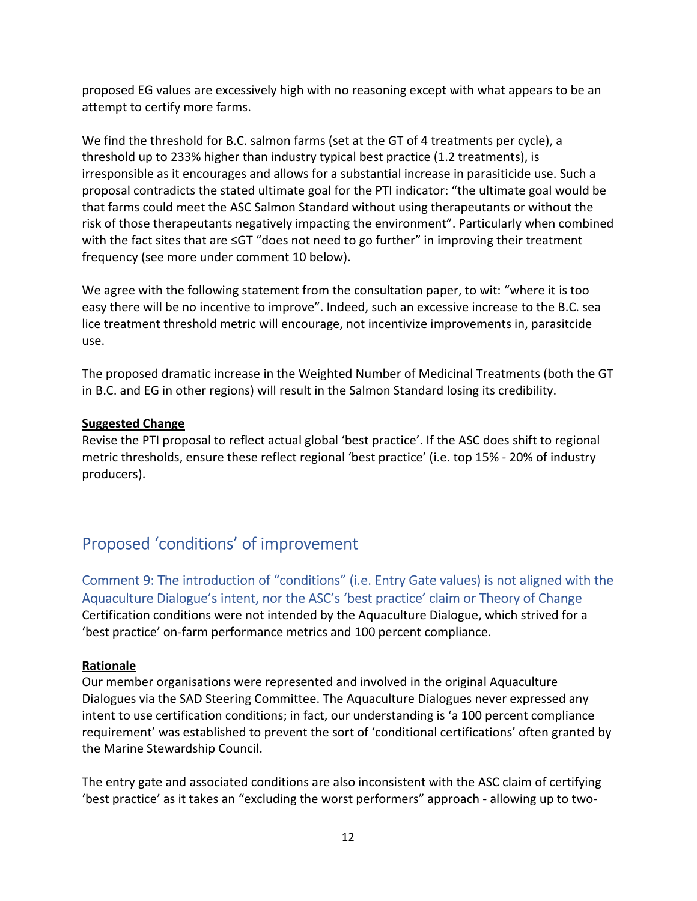proposed EG values are excessively high with no reasoning except with what appears to be an attempt to certify more farms.

We find the threshold for B.C. salmon farms (set at the GT of 4 treatments per cycle), a threshold up to 233% higher than industry typical best practice (1.2 treatments), is irresponsible as it encourages and allows for a substantial increase in parasiticide use. Such a proposal contradicts the stated ultimate goal for the PTI indicator: "the ultimate goal would be that farms could meet the ASC Salmon Standard without using therapeutants or without the risk of those therapeutants negatively impacting the environment". Particularly when combined with the fact sites that are ≤GT "does not need to go further" in improving their treatment frequency (see more under comment 10 below).

We agree with the following statement from the consultation paper, to wit: "where it is too easy there will be no incentive to improve". Indeed, such an excessive increase to the B.C. sea lice treatment threshold metric will encourage, not incentivize improvements in, parasitcide use.

The proposed dramatic increase in the Weighted Number of Medicinal Treatments (both the GT in B.C. and EG in other regions) will result in the Salmon Standard losing its credibility.

#### Suggested Change

Revise the PTI proposal to reflect actual global 'best practice'. If the ASC does shift to regional metric thresholds, ensure these reflect regional 'best practice' (i.e. top 15% - 20% of industry producers).

# Proposed 'conditions' of improvement

Comment 9: The introduction of "conditions" (i.e. Entry Gate values) is not aligned with the Aquaculture Dialogue's intent, nor the ASC's 'best practice' claim or Theory of Change Certification conditions were not intended by the Aquaculture Dialogue, which strived for a 'best practice' on-farm performance metrics and 100 percent compliance.

### Rationale

Our member organisations were represented and involved in the original Aquaculture Dialogues via the SAD Steering Committee. The Aquaculture Dialogues never expressed any intent to use certification conditions; in fact, our understanding is 'a 100 percent compliance requirement' was established to prevent the sort of 'conditional certifications' often granted by the Marine Stewardship Council.

The entry gate and associated conditions are also inconsistent with the ASC claim of certifying 'best practice' as it takes an "excluding the worst performers" approach - allowing up to two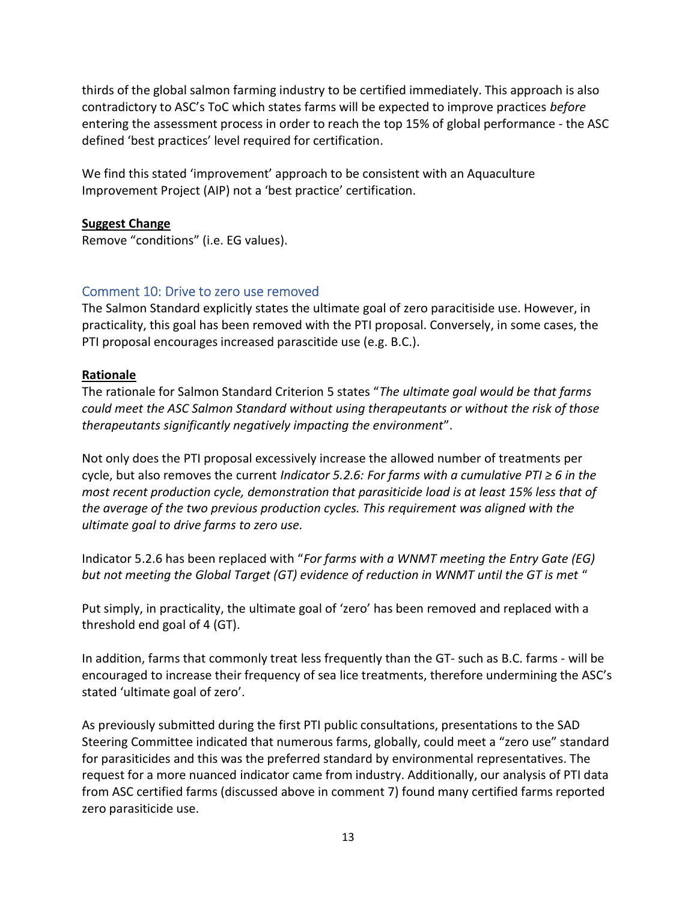thirds of the global salmon farming industry to be certified immediately. This approach is also contradictory to ASC's ToC which states farms will be expected to improve practices before entering the assessment process in order to reach the top 15% of global performance - the ASC defined 'best practices' level required for certification.

We find this stated 'improvement' approach to be consistent with an Aquaculture Improvement Project (AIP) not a 'best practice' certification.

#### Suggest Change

Remove "conditions" (i.e. EG values).

### Comment 10: Drive to zero use removed

The Salmon Standard explicitly states the ultimate goal of zero paracitiside use. However, in practicality, this goal has been removed with the PTI proposal. Conversely, in some cases, the PTI proposal encourages increased parascitide use (e.g. B.C.).

#### Rationale

The rationale for Salmon Standard Criterion 5 states "The ultimate goal would be that farms could meet the ASC Salmon Standard without using therapeutants or without the risk of those therapeutants significantly negatively impacting the environment".

Not only does the PTI proposal excessively increase the allowed number of treatments per cycle, but also removes the current Indicator 5.2.6: For farms with a cumulative PTI  $\geq 6$  in the most recent production cycle, demonstration that parasiticide load is at least 15% less that of the average of the two previous production cycles. This requirement was aligned with the ultimate goal to drive farms to zero use.

Indicator 5.2.6 has been replaced with "For farms with a WNMT meeting the Entry Gate (EG) but not meeting the Global Target (GT) evidence of reduction in WNMT until the GT is met "

Put simply, in practicality, the ultimate goal of 'zero' has been removed and replaced with a threshold end goal of 4 (GT).

In addition, farms that commonly treat less frequently than the GT- such as B.C. farms - will be encouraged to increase their frequency of sea lice treatments, therefore undermining the ASC's stated 'ultimate goal of zero'.

As previously submitted during the first PTI public consultations, presentations to the SAD Steering Committee indicated that numerous farms, globally, could meet a "zero use" standard for parasiticides and this was the preferred standard by environmental representatives. The request for a more nuanced indicator came from industry. Additionally, our analysis of PTI data from ASC certified farms (discussed above in comment 7) found many certified farms reported zero parasiticide use.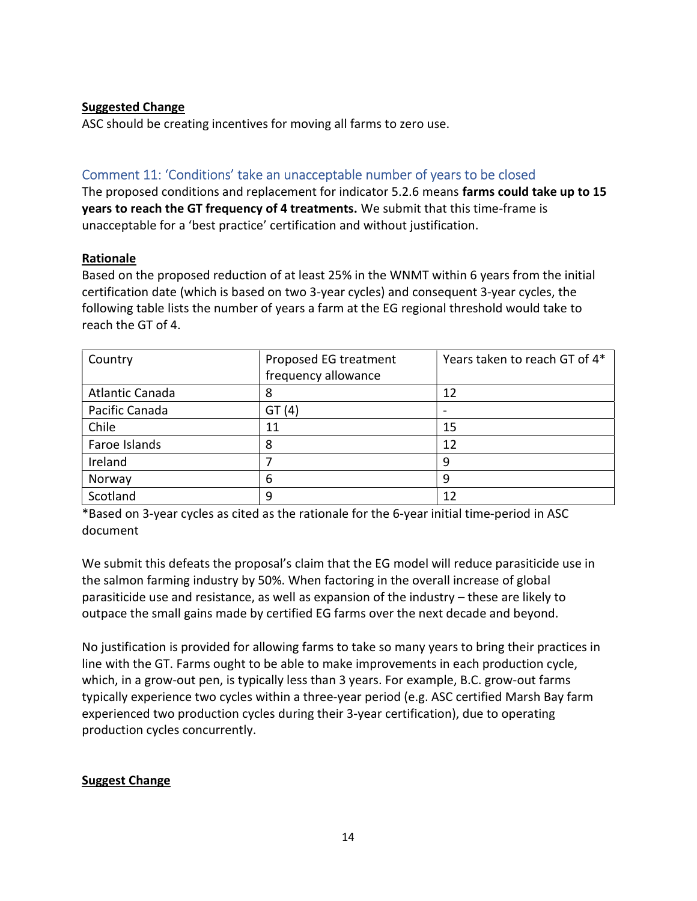#### Suggested Change

ASC should be creating incentives for moving all farms to zero use.

## Comment 11: 'Conditions' take an unacceptable number of years to be closed

The proposed conditions and replacement for indicator 5.2.6 means farms could take up to 15 years to reach the GT frequency of 4 treatments. We submit that this time-frame is unacceptable for a 'best practice' certification and without justification.

#### Rationale

Based on the proposed reduction of at least 25% in the WNMT within 6 years from the initial certification date (which is based on two 3-year cycles) and consequent 3-year cycles, the following table lists the number of years a farm at the EG regional threshold would take to reach the GT of 4.

| Country         | Proposed EG treatment | Years taken to reach GT of 4* |
|-----------------|-----------------------|-------------------------------|
|                 | frequency allowance   |                               |
| Atlantic Canada | 8                     | 12                            |
| Pacific Canada  | GT(4)                 |                               |
| Chile           | 11                    | 15                            |
| Faroe Islands   | 8                     | 12                            |
| Ireland         |                       | q                             |
| Norway          | 6                     | ٩                             |
| Scotland        | 9                     | 12                            |

\*Based on 3-year cycles as cited as the rationale for the 6-year initial time-period in ASC document

We submit this defeats the proposal's claim that the EG model will reduce parasiticide use in the salmon farming industry by 50%. When factoring in the overall increase of global parasiticide use and resistance, as well as expansion of the industry – these are likely to outpace the small gains made by certified EG farms over the next decade and beyond.

No justification is provided for allowing farms to take so many years to bring their practices in line with the GT. Farms ought to be able to make improvements in each production cycle, which, in a grow-out pen, is typically less than 3 years. For example, B.C. grow-out farms typically experience two cycles within a three-year period (e.g. ASC certified Marsh Bay farm experienced two production cycles during their 3-year certification), due to operating production cycles concurrently.

### Suggest Change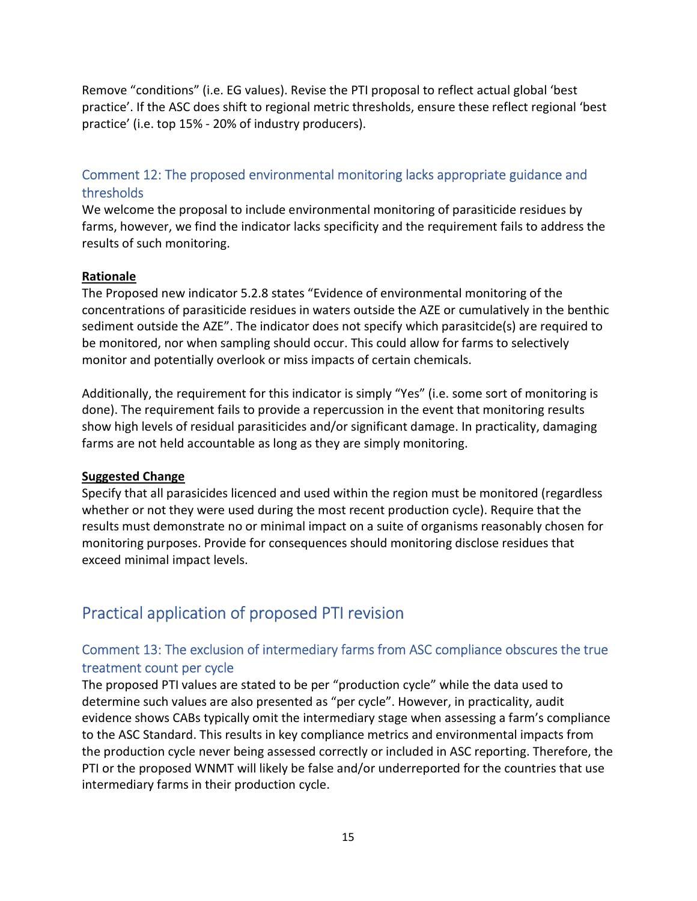Remove "conditions" (i.e. EG values). Revise the PTI proposal to reflect actual global 'best practice'. If the ASC does shift to regional metric thresholds, ensure these reflect regional 'best practice' (i.e. top 15% - 20% of industry producers).

## Comment 12: The proposed environmental monitoring lacks appropriate guidance and thresholds

We welcome the proposal to include environmental monitoring of parasiticide residues by farms, however, we find the indicator lacks specificity and the requirement fails to address the results of such monitoring.

#### Rationale

The Proposed new indicator 5.2.8 states "Evidence of environmental monitoring of the concentrations of parasiticide residues in waters outside the AZE or cumulatively in the benthic sediment outside the AZE". The indicator does not specify which parasitcide(s) are required to be monitored, nor when sampling should occur. This could allow for farms to selectively monitor and potentially overlook or miss impacts of certain chemicals.

Additionally, the requirement for this indicator is simply "Yes" (i.e. some sort of monitoring is done). The requirement fails to provide a repercussion in the event that monitoring results show high levels of residual parasiticides and/or significant damage. In practicality, damaging farms are not held accountable as long as they are simply monitoring.

#### Suggested Change

Specify that all parasicides licenced and used within the region must be monitored (regardless whether or not they were used during the most recent production cycle). Require that the results must demonstrate no or minimal impact on a suite of organisms reasonably chosen for monitoring purposes. Provide for consequences should monitoring disclose residues that exceed minimal impact levels.

# Practical application of proposed PTI revision

# Comment 13: The exclusion of intermediary farms from ASC compliance obscures the true treatment count per cycle

The proposed PTI values are stated to be per "production cycle" while the data used to determine such values are also presented as "per cycle". However, in practicality, audit evidence shows CABs typically omit the intermediary stage when assessing a farm's compliance to the ASC Standard. This results in key compliance metrics and environmental impacts from the production cycle never being assessed correctly or included in ASC reporting. Therefore, the PTI or the proposed WNMT will likely be false and/or underreported for the countries that use intermediary farms in their production cycle.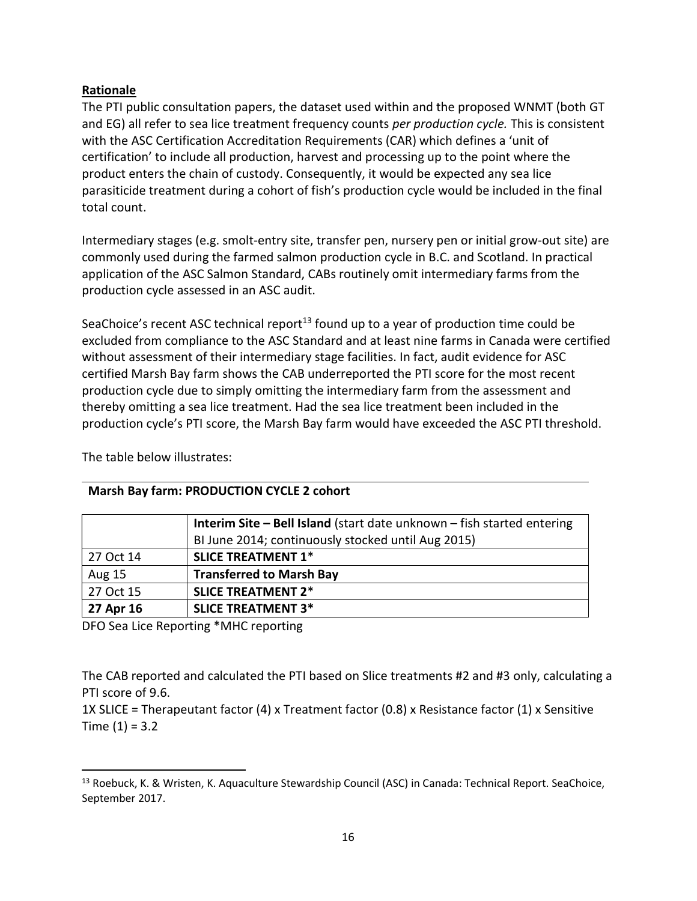#### Rationale

The PTI public consultation papers, the dataset used within and the proposed WNMT (both GT and EG) all refer to sea lice treatment frequency counts per production cycle. This is consistent with the ASC Certification Accreditation Requirements (CAR) which defines a 'unit of certification' to include all production, harvest and processing up to the point where the product enters the chain of custody. Consequently, it would be expected any sea lice parasiticide treatment during a cohort of fish's production cycle would be included in the final total count.

Intermediary stages (e.g. smolt-entry site, transfer pen, nursery pen or initial grow-out site) are commonly used during the farmed salmon production cycle in B.C. and Scotland. In practical application of the ASC Salmon Standard, CABs routinely omit intermediary farms from the production cycle assessed in an ASC audit.

SeaChoice's recent ASC technical report<sup>13</sup> found up to a year of production time could be excluded from compliance to the ASC Standard and at least nine farms in Canada were certified without assessment of their intermediary stage facilities. In fact, audit evidence for ASC certified Marsh Bay farm shows the CAB underreported the PTI score for the most recent production cycle due to simply omitting the intermediary farm from the assessment and thereby omitting a sea lice treatment. Had the sea lice treatment been included in the production cycle's PTI score, the Marsh Bay farm would have exceeded the ASC PTI threshold.

|               | <b>Interim Site - Bell Island</b> (start date unknown - fish started entering |
|---------------|-------------------------------------------------------------------------------|
|               | BI June 2014; continuously stocked until Aug 2015)                            |
| 27 Oct 14     | <b>SLICE TREATMENT 1*</b>                                                     |
| <b>Aug 15</b> | <b>Transferred to Marsh Bay</b>                                               |
| 27 Oct 15     | <b>SLICE TREATMENT 2*</b>                                                     |
| 27 Apr 16     | <b>SLICE TREATMENT 3*</b>                                                     |

The table below illustrates:

DFO Sea Lice Reporting \*MHC reporting

Marsh Bay farm: PRODUCTION CYCLE 2 cohort

The CAB reported and calculated the PTI based on Slice treatments #2 and #3 only, calculating a PTI score of 9.6.

1X SLICE = Therapeutant factor (4) x Treatment factor (0.8) x Resistance factor (1) x Sensitive Time  $(1) = 3.2$ 

<sup>13</sup> Roebuck, K. & Wristen, K. Aquaculture Stewardship Council (ASC) in Canada: Technical Report. SeaChoice, September 2017.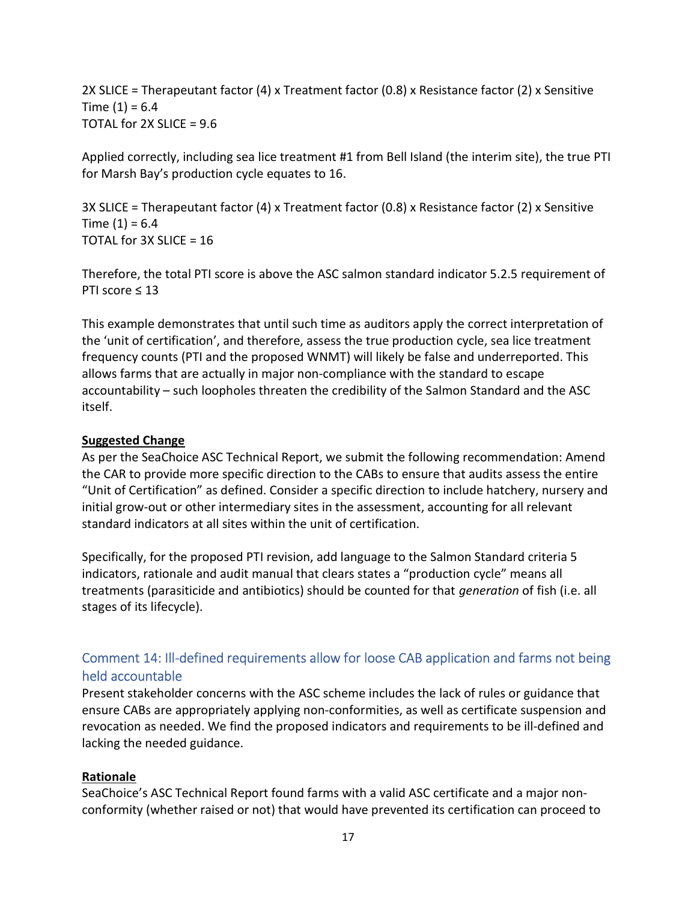2X SLICE = Therapeutant factor (4) x Treatment factor (0.8) x Resistance factor (2) x Sensitive Time  $(1) = 6.4$ TOTAL for  $2X$  SLICE =  $9.6$ 

Applied correctly, including sea lice treatment #1 from Bell Island (the interim site), the true PTI for Marsh Bay's production cycle equates to 16.

3X SLICE = Therapeutant factor (4) x Treatment factor (0.8) x Resistance factor (2) x Sensitive Time  $(1) = 6.4$ TOTAL for 3X SLICE = 16

Therefore, the total PTI score is above the ASC salmon standard indicator 5.2.5 requirement of PTI score ≤ 13

This example demonstrates that until such time as auditors apply the correct interpretation of the 'unit of certification', and therefore, assess the true production cycle, sea lice treatment frequency counts (PTI and the proposed WNMT) will likely be false and underreported. This allows farms that are actually in major non-compliance with the standard to escape accountability – such loopholes threaten the credibility of the Salmon Standard and the ASC itself.

#### Suggested Change

As per the SeaChoice ASC Technical Report, we submit the following recommendation: Amend the CAR to provide more specific direction to the CABs to ensure that audits assess the entire "Unit of Certification" as defined. Consider a specific direction to include hatchery, nursery and initial grow-out or other intermediary sites in the assessment, accounting for all relevant standard indicators at all sites within the unit of certification.

Specifically, for the proposed PTI revision, add language to the Salmon Standard criteria 5 indicators, rationale and audit manual that clears states a "production cycle" means all treatments (parasiticide and antibiotics) should be counted for that generation of fish (i.e. all stages of its lifecycle).

## Comment 14: Ill-defined requirements allow for loose CAB application and farms not being held accountable

Present stakeholder concerns with the ASC scheme includes the lack of rules or guidance that ensure CABs are appropriately applying non-conformities, as well as certificate suspension and revocation as needed. We find the proposed indicators and requirements to be ill-defined and lacking the needed guidance.

#### Rationale

SeaChoice's ASC Technical Report found farms with a valid ASC certificate and a major nonconformity (whether raised or not) that would have prevented its certification can proceed to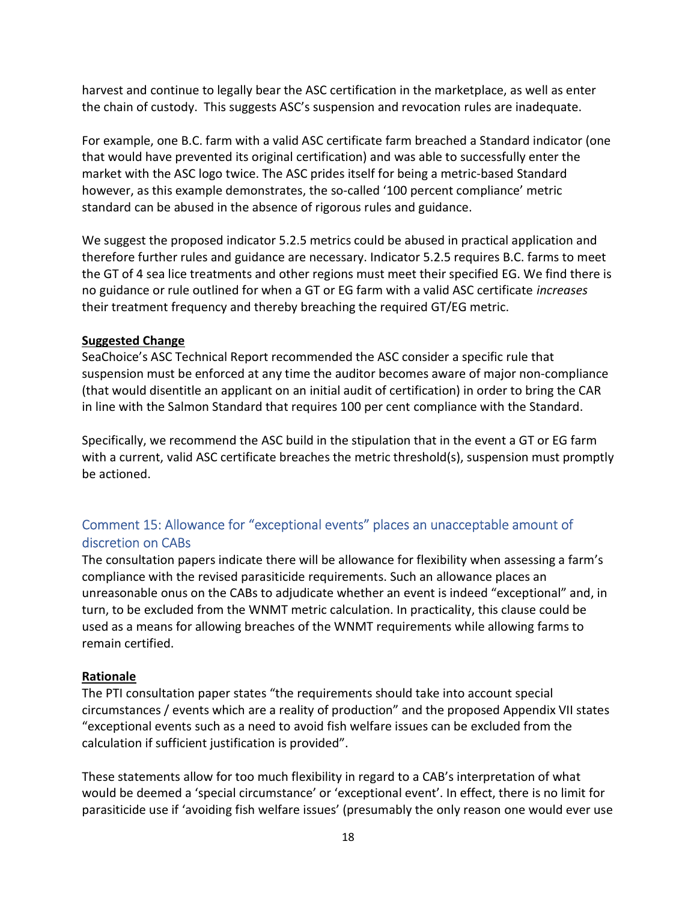harvest and continue to legally bear the ASC certification in the marketplace, as well as enter the chain of custody. This suggests ASC's suspension and revocation rules are inadequate.

For example, one B.C. farm with a valid ASC certificate farm breached a Standard indicator (one that would have prevented its original certification) and was able to successfully enter the market with the ASC logo twice. The ASC prides itself for being a metric-based Standard however, as this example demonstrates, the so-called '100 percent compliance' metric standard can be abused in the absence of rigorous rules and guidance.

We suggest the proposed indicator 5.2.5 metrics could be abused in practical application and therefore further rules and guidance are necessary. Indicator 5.2.5 requires B.C. farms to meet the GT of 4 sea lice treatments and other regions must meet their specified EG. We find there is no guidance or rule outlined for when a GT or EG farm with a valid ASC certificate *increases* their treatment frequency and thereby breaching the required GT/EG metric.

### Suggested Change

SeaChoice's ASC Technical Report recommended the ASC consider a specific rule that suspension must be enforced at any time the auditor becomes aware of major non-compliance (that would disentitle an applicant on an initial audit of certification) in order to bring the CAR in line with the Salmon Standard that requires 100 per cent compliance with the Standard.

Specifically, we recommend the ASC build in the stipulation that in the event a GT or EG farm with a current, valid ASC certificate breaches the metric threshold(s), suspension must promptly be actioned.

# Comment 15: Allowance for "exceptional events" places an unacceptable amount of discretion on CABs

The consultation papers indicate there will be allowance for flexibility when assessing a farm's compliance with the revised parasiticide requirements. Such an allowance places an unreasonable onus on the CABs to adjudicate whether an event is indeed "exceptional" and, in turn, to be excluded from the WNMT metric calculation. In practicality, this clause could be used as a means for allowing breaches of the WNMT requirements while allowing farms to remain certified.

### Rationale

The PTI consultation paper states "the requirements should take into account special circumstances / events which are a reality of production" and the proposed Appendix VII states "exceptional events such as a need to avoid fish welfare issues can be excluded from the calculation if sufficient justification is provided".

These statements allow for too much flexibility in regard to a CAB's interpretation of what would be deemed a 'special circumstance' or 'exceptional event'. In effect, there is no limit for parasiticide use if 'avoiding fish welfare issues' (presumably the only reason one would ever use